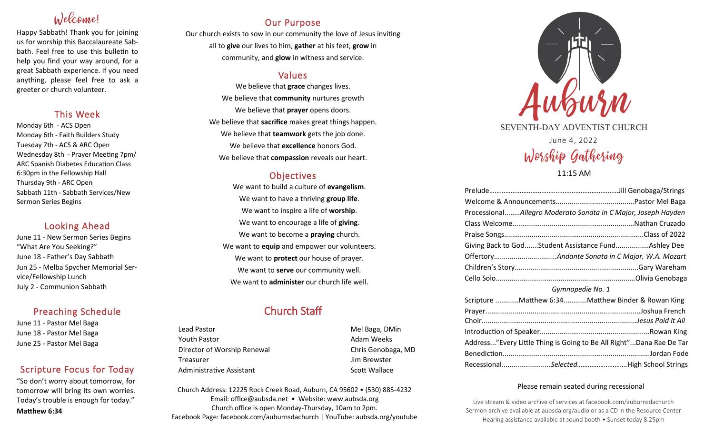# $N$ elcome

Happy Sabbath! Thank you for joining us for worship this Baccalaureate Sabbath. Feel free to use this bulletin to help you find your way around, for a great Sabbath experience. If you need anything, please feel free to ask a greeter or church volunteer.

### This Week

Monday 6th - ACS Open Monday 6th - Faith Builders Study Tuesday 7th - ACS & ARC Open Wednesday 8th - Prayer Meeting 7pm/ ARC Spanish Diabetes Education Class 6:30pm in the Fellowship Hall Thursday 9th - ARC Open Sabbath 11th - Sabbath Services/New Sermon Series Begins

## Looking Ahead

June 11 - New Sermon Series Begins "What Are You Seeking?" June 18 - Father's Day Sabbath Jun 25 - Melba Spycher Memorial Service/Fellowship Lunch July 2 - Communion Sabbath

### Preaching Schedule

June 11 - Pastor Mel Baga June 18 - Pastor Mel Baga June 25 - Pastor Mel Baga

## Scripture Focus for Today

"So don't worry about tomorrow, for tomorrow will bring its own worries. Today's trouble is enough for today." **Matthew 6:34**

## Our Purpose

Our church exists to sow in our community the love of Jesus inviting all to **give** our lives to him, **gather** at his feet, **grow** in community, and **glow** in witness and service.

### Values

We believe that **grace** changes lives. We believe that **community** nurtures growth We believe that **prayer** opens doors. We believe that **sacrifice** makes great things happen. We believe that **teamwork** gets the job done. We believe that **excellence** honors God. We believe that **compassion** reveals our heart.

### **Objectives**

We want to build a culture of **evangelism**. We want to have a thriving **group life**. We want to inspire a life of **worship**. We want to encourage a life of **giving**. We want to become a **praying** church. We want to **equip** and empower our volunteers. We want to **protect** our house of prayer. We want to **serve** our community well. We want to **administer** our church life well.

# Church Staff

Lead Pastor **Mel Baga**, DMin Youth Pastor **Adam Weeks Adam Weeks** Director of Worship Renewal **Chris Genobaga**, MD Treasurer Jim Brewster Administrative Assistant National Controllery Scott Wallace

Church Address: 12225 Rock Creek Road, Auburn, CA 95602 • (530) 885-4232 Email: office@aubsda.net • Website: www.aubsda.org Church office is open Monday-Thursday, 10am to 2pm. Facebook Page: facebook.com/auburnsdachurch | YouTube: aubsda.org/youtube



SEVENTH-DAY ADVENTIST CHURCH

June 4, 2022 Worship Gathering

11:15 AM

| ProcessionalAllegro Moderato Sonata in C Major, Joseph Hayden                |  |
|------------------------------------------------------------------------------|--|
|                                                                              |  |
|                                                                              |  |
| Giving Back to GodStudent Assistance FundAshley Dee                          |  |
|                                                                              |  |
|                                                                              |  |
|                                                                              |  |
| 이 사이에 대한 사이를 하는 것이 없는 것이 아니라 이 사이를 하는 것이 없어서 사이를 하는 것이 없어요. 이 사이를 하는 것이 없어요. |  |

#### *Gymnopedie No. 1*

|                                                                     |  | Scripture Matthew 6:34Matthew Binder & Rowan King |
|---------------------------------------------------------------------|--|---------------------------------------------------|
|                                                                     |  |                                                   |
|                                                                     |  |                                                   |
|                                                                     |  |                                                   |
| Address"Every Little Thing is Going to Be All Right"Dana Rae De Tar |  |                                                   |
|                                                                     |  |                                                   |
|                                                                     |  | RecessionalSelectedHigh School Strings            |

#### Please remain seated during recessional

Live stream & video archive of services at facebook.com/auburnsdachurch Sermon archive available at aubsda.org/audio or as a CD in the Resource Center Hearing assistance available at sound booth • Sunset today 8:25pm